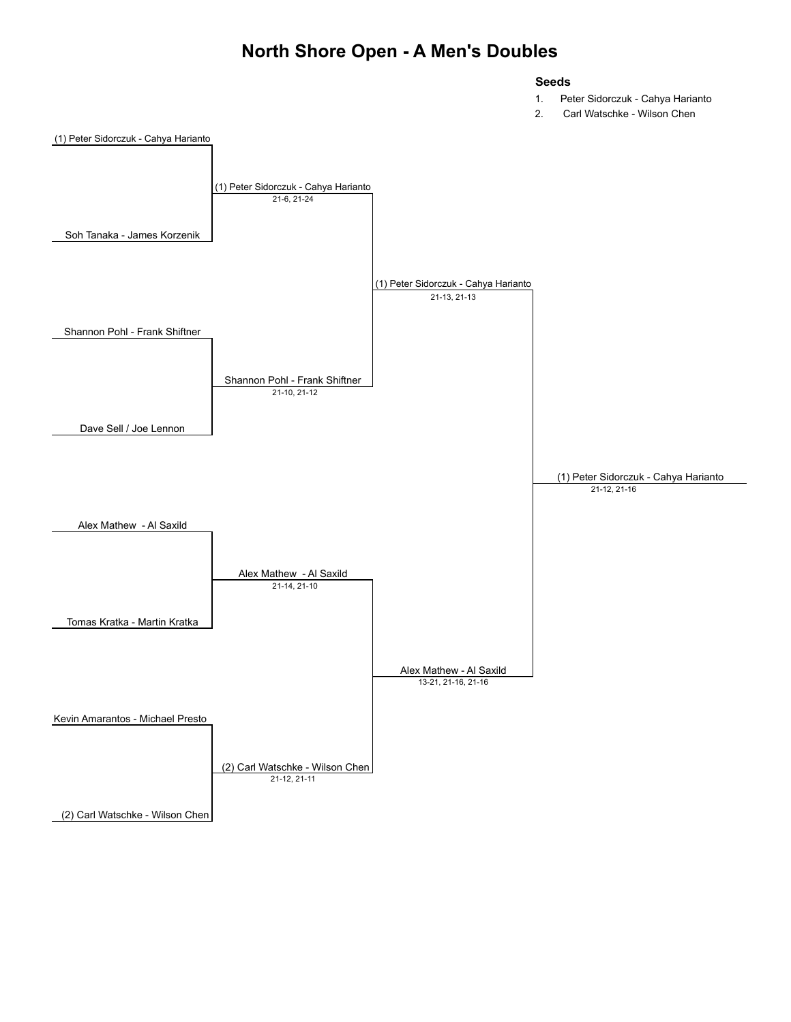#### **North Shore Open - A Men's Doubles**

#### **Seeds**

- 1. Peter Sidorczuk Cahya Harianto
- 2. Carl Watschke Wilson Chen

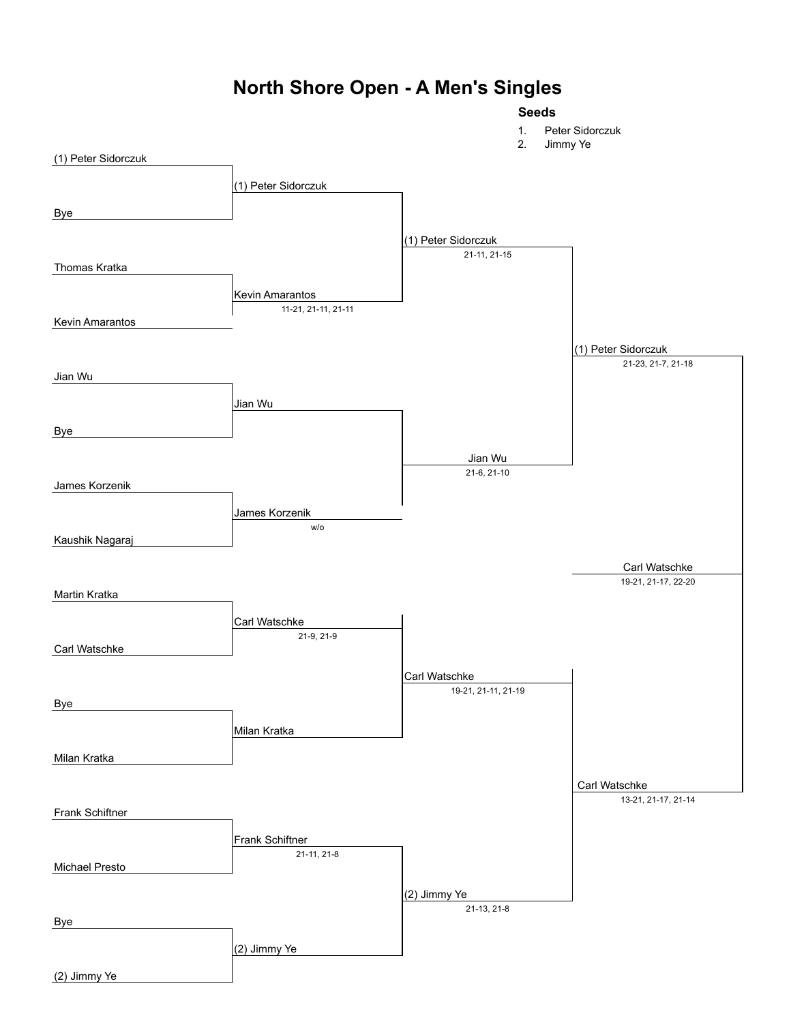# **North Shore Open - A Men's Singles**

#### **Seeds**

1. Peter Sidorczuk

|                       | 2.<br>Jimmy Ye                 |                                     |                     |
|-----------------------|--------------------------------|-------------------------------------|---------------------|
| (1) Peter Sidorczuk   |                                |                                     |                     |
|                       | (1) Peter Sidorczuk            |                                     |                     |
|                       |                                |                                     |                     |
| <b>Bye</b>            |                                |                                     |                     |
|                       |                                |                                     |                     |
|                       |                                | (1) Peter Sidorczuk<br>21-11, 21-15 |                     |
| Thomas Kratka         |                                |                                     |                     |
|                       |                                |                                     |                     |
|                       | <b>Kevin Amarantos</b>         |                                     |                     |
| Kevin Amarantos       | 11-21, 21-11, 21-11            |                                     |                     |
|                       |                                |                                     |                     |
|                       |                                |                                     | (1) Peter Sidorczuk |
| Jian Wu               |                                |                                     | 21-23, 21-7, 21-18  |
|                       |                                |                                     |                     |
|                       | Jian Wu                        |                                     |                     |
|                       |                                |                                     |                     |
| <b>Bye</b>            |                                |                                     |                     |
|                       |                                | Jian Wu                             |                     |
|                       |                                | 21-6, 21-10                         |                     |
| James Korzenik        |                                |                                     |                     |
|                       | James Korzenik                 |                                     |                     |
|                       | W/O                            |                                     |                     |
| Kaushik Nagaraj       |                                |                                     |                     |
|                       |                                |                                     |                     |
|                       |                                |                                     | Carl Watschke       |
|                       |                                |                                     |                     |
| Martin Kratka         |                                |                                     | 19-21, 21-17, 22-20 |
|                       |                                |                                     |                     |
|                       | Carl Watschke                  |                                     |                     |
|                       | 21-9, 21-9                     |                                     |                     |
| Carl Watschke         |                                |                                     |                     |
|                       |                                | Carl Watschke                       |                     |
|                       |                                | 19-21, 21-11, 21-19                 |                     |
| <b>Bye</b>            |                                |                                     |                     |
|                       | Milan Kratka                   |                                     |                     |
|                       |                                |                                     |                     |
| Milan Kratka          |                                |                                     |                     |
|                       |                                |                                     | Carl Watschke       |
|                       |                                |                                     | 13-21, 21-17, 21-14 |
| Frank Schiftner       |                                |                                     |                     |
|                       |                                |                                     |                     |
|                       | Frank Schiftner<br>21-11, 21-8 |                                     |                     |
| <b>Michael Presto</b> |                                |                                     |                     |
|                       |                                |                                     |                     |
|                       |                                | (2) Jimmy Ye                        |                     |
| <b>Bye</b>            |                                | 21-13, 21-8                         |                     |
|                       | (2) Jimmy Ye                   |                                     |                     |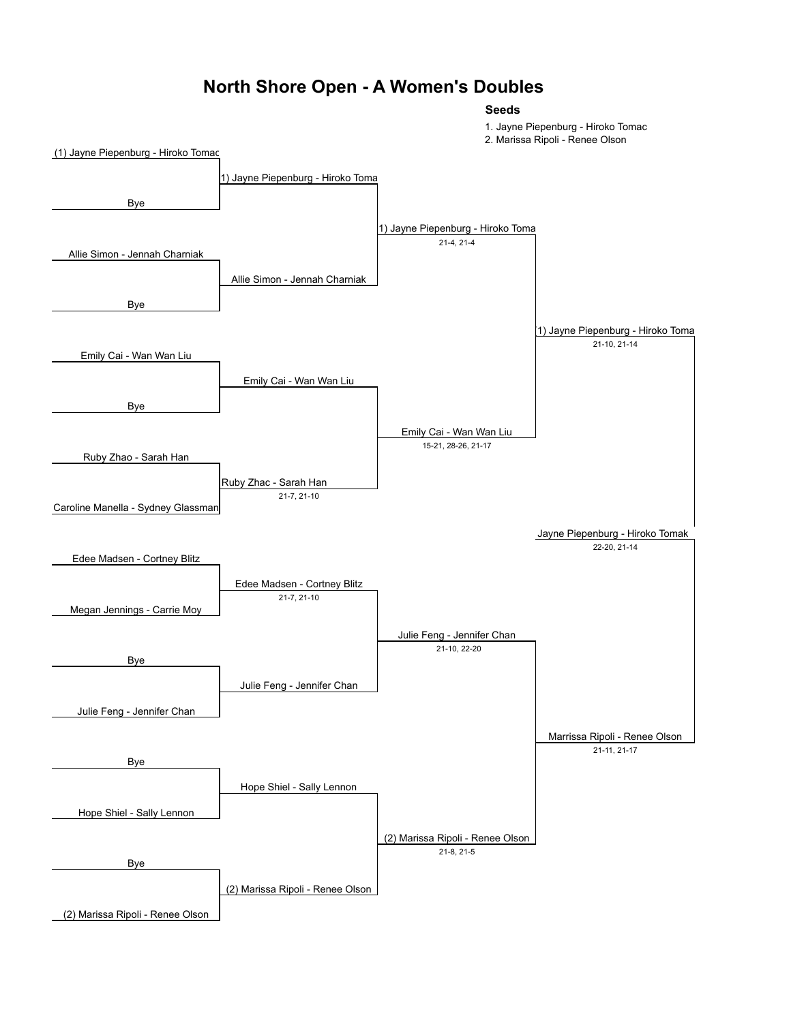#### **North Shore Open - A Women's Doubles**

**Seeds**

1. Jayne Piepenburg - Hiroko Tomac

2. Marissa Ripoli - Renee Olson

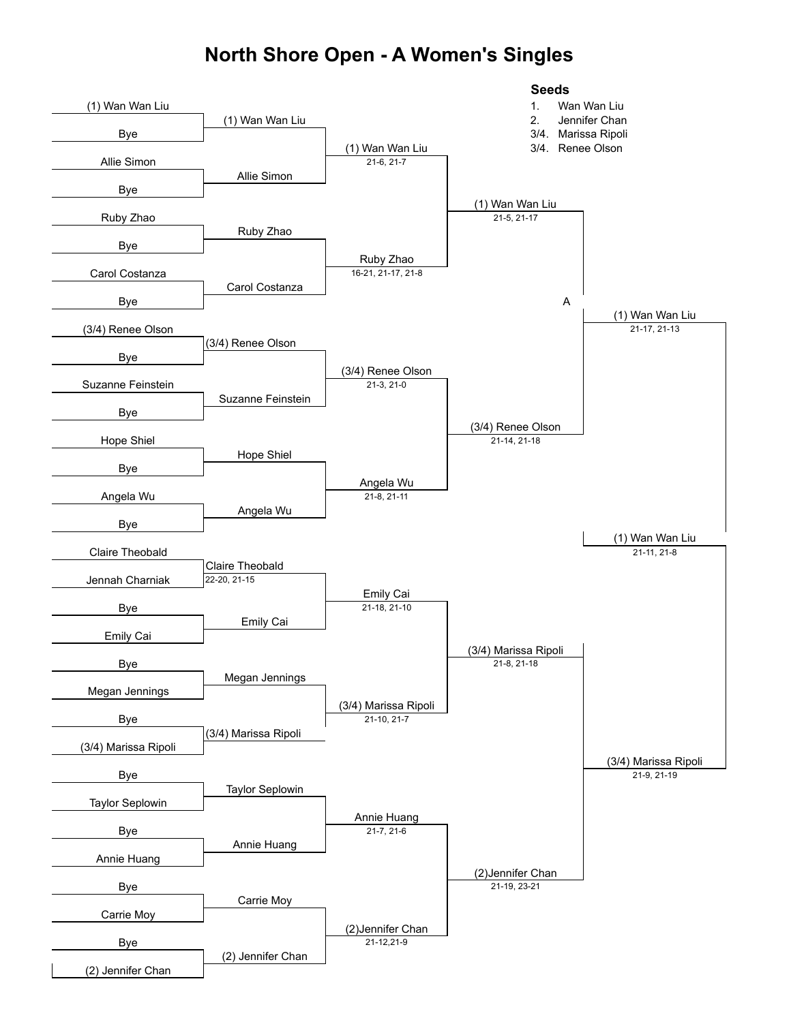#### **North Shore Open - A Women's Singles**

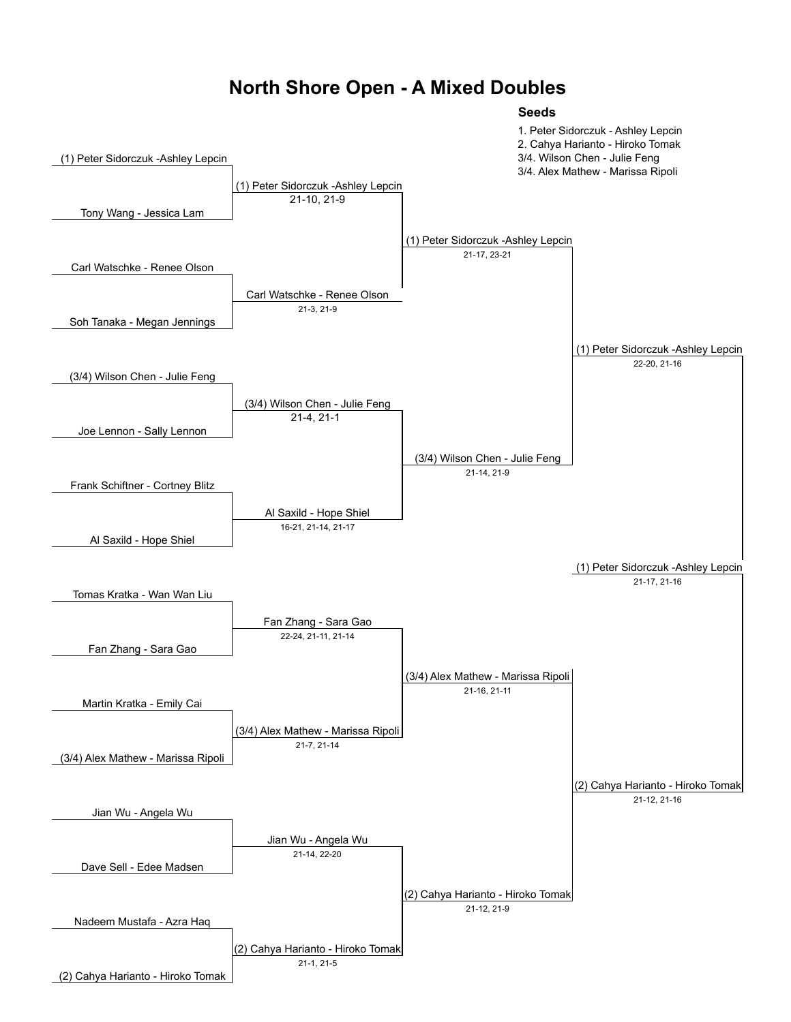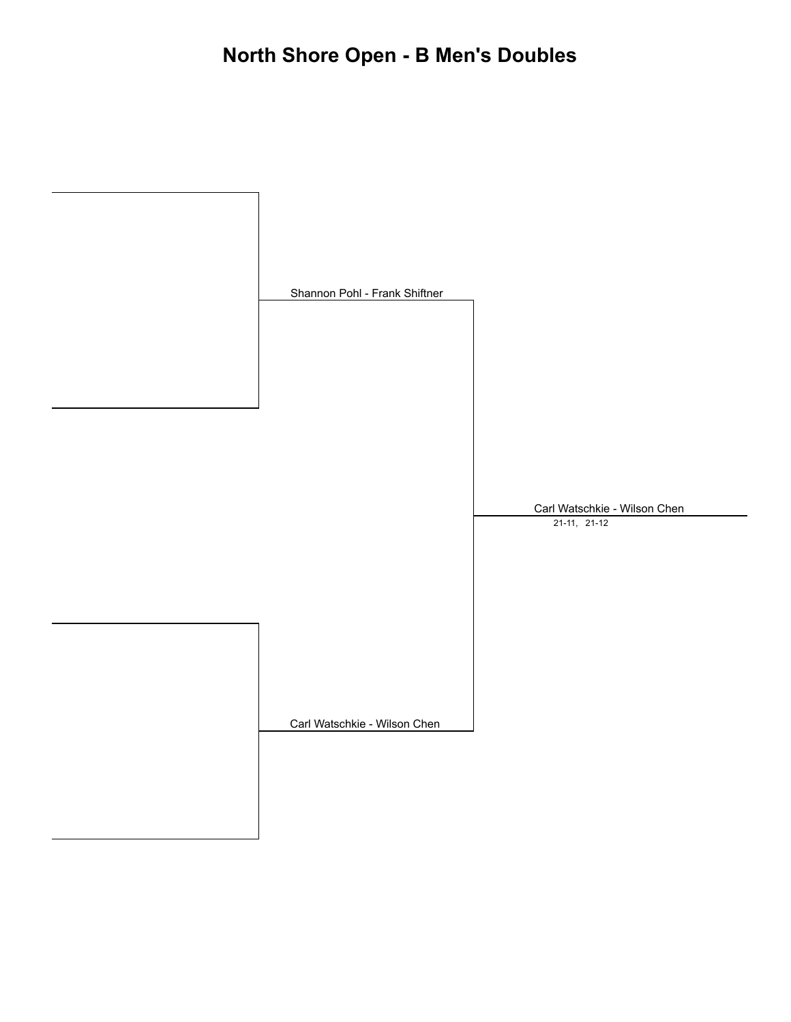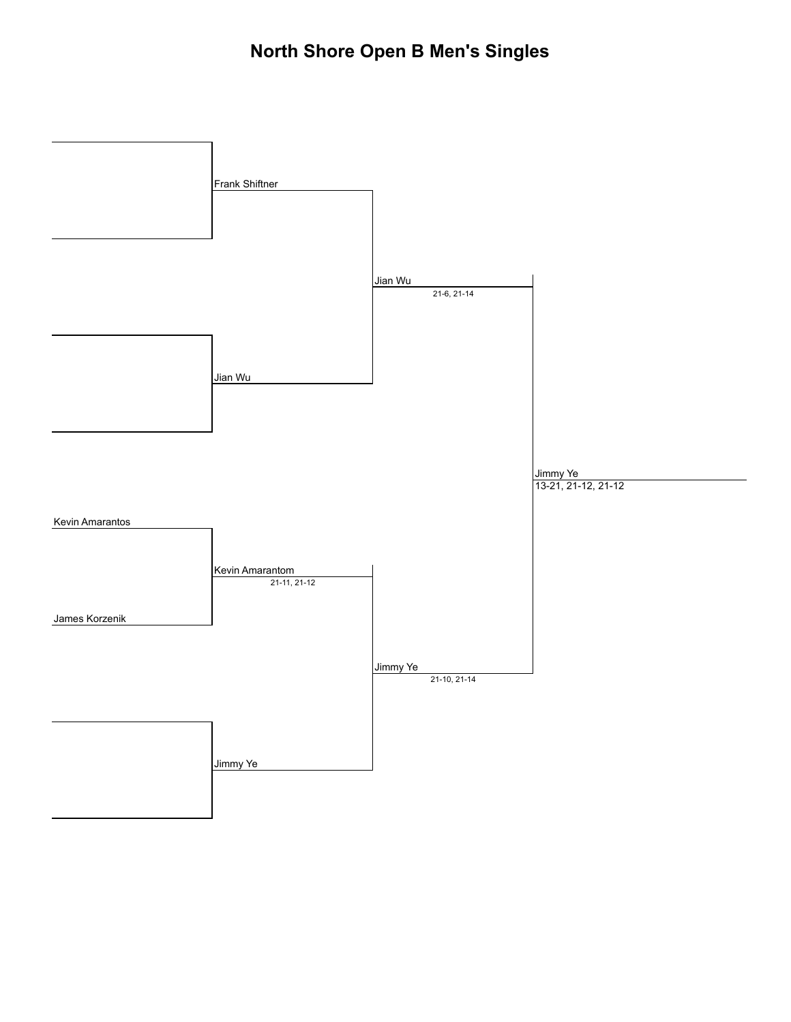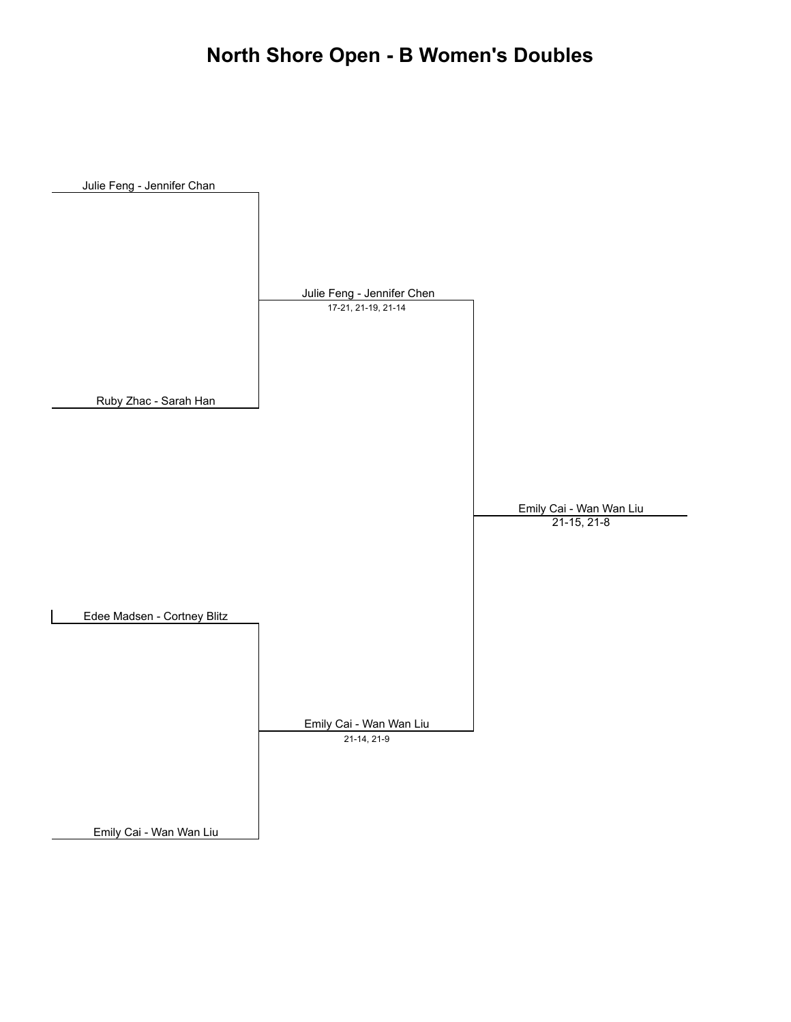## **North Shore Open - B Women's Doubles**

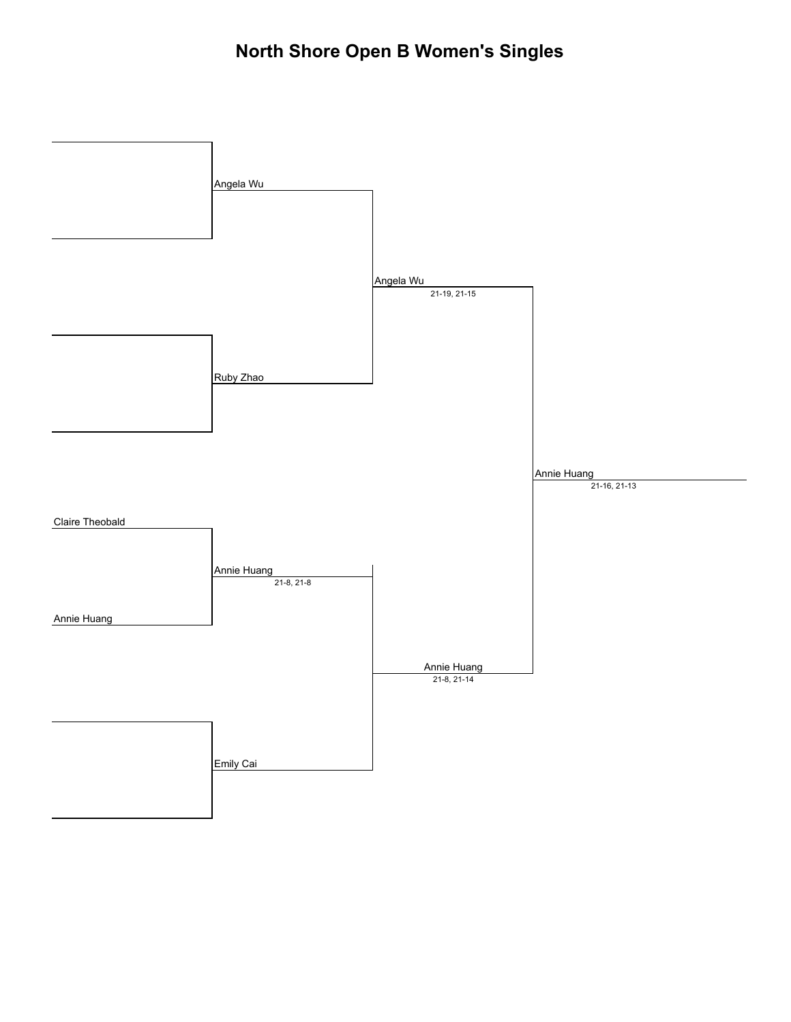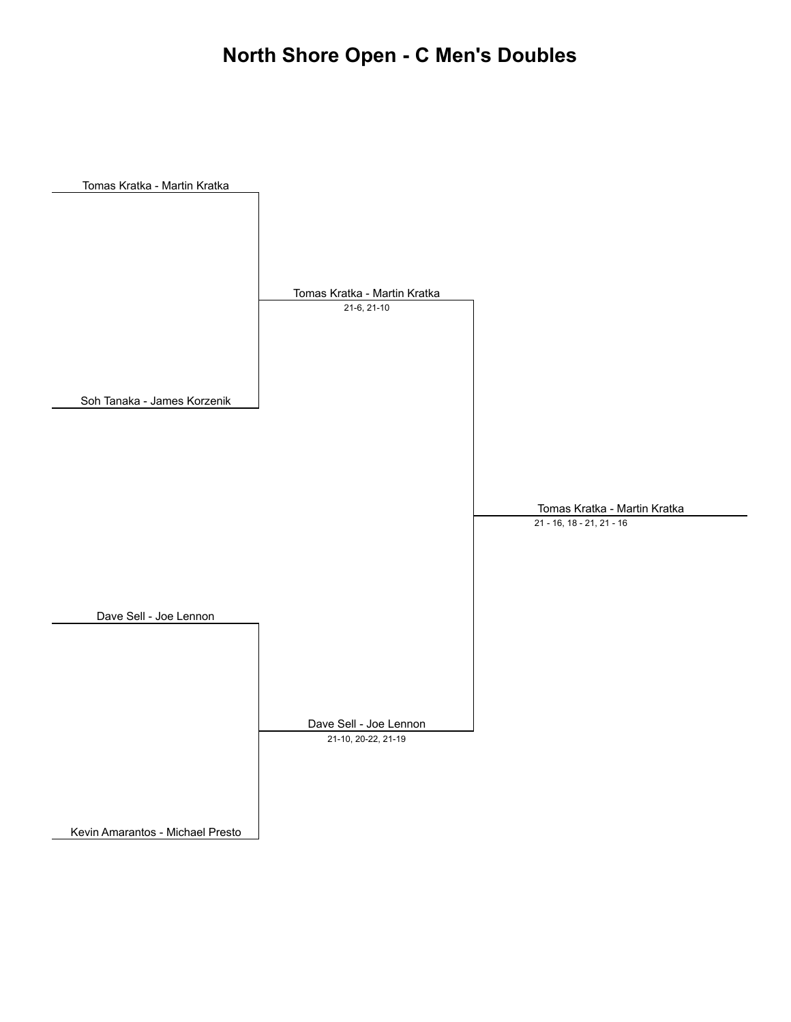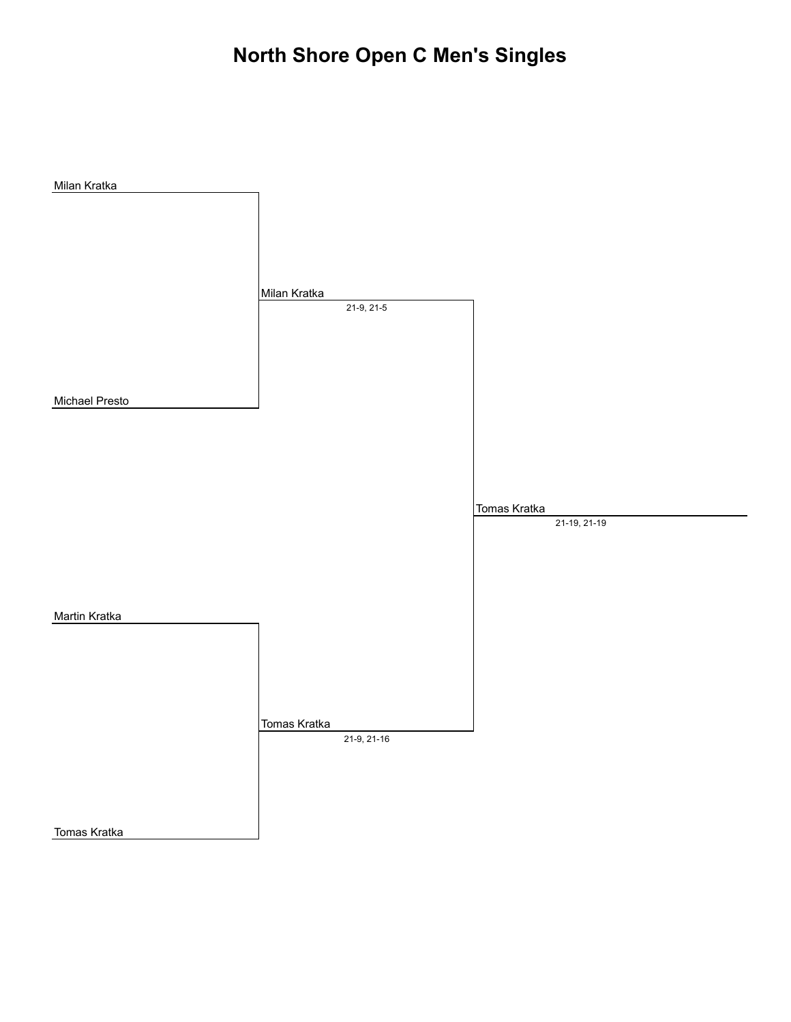## **North Shore Open C Men's Singles**

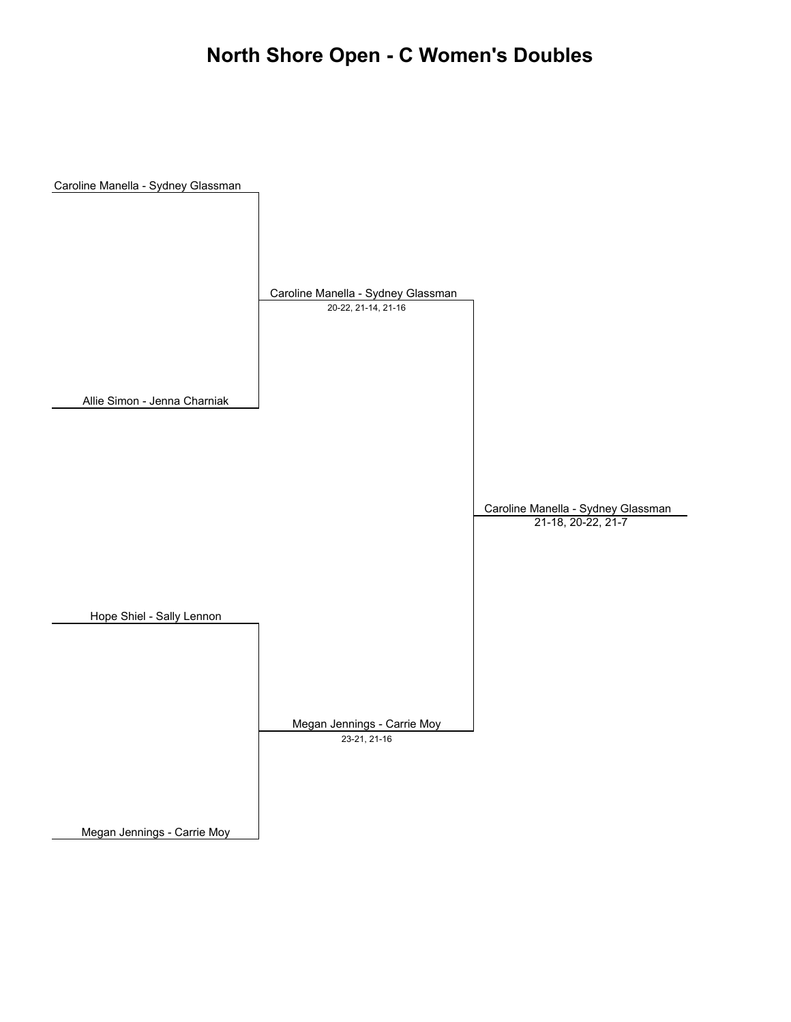## **North Shore Open - C Women's Doubles**

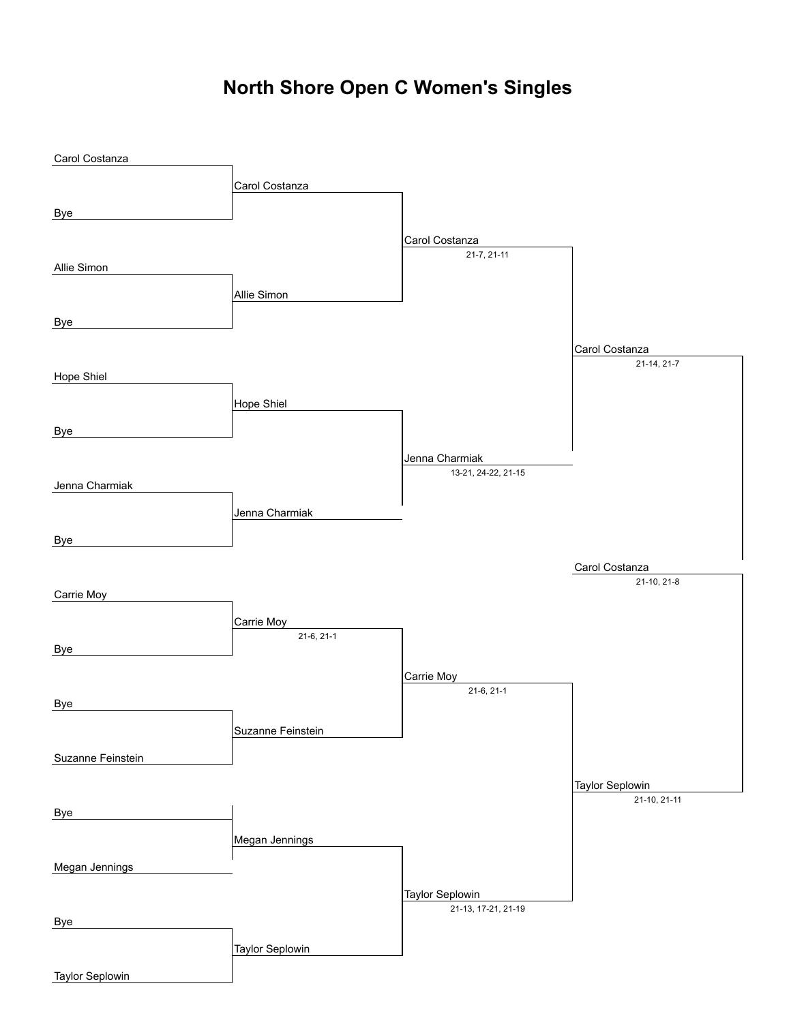# **North Shore Open C Women's Singles**

| Carol Costanza    |                            |                                       |                                        |
|-------------------|----------------------------|---------------------------------------|----------------------------------------|
|                   | Carol Costanza             |                                       |                                        |
|                   |                            |                                       |                                        |
| <b>Bye</b>        |                            |                                       |                                        |
|                   |                            | Carol Costanza                        |                                        |
| Allie Simon       |                            | 21-7, 21-11                           |                                        |
|                   |                            |                                       |                                        |
|                   | Allie Simon                |                                       |                                        |
| <b>Bye</b>        |                            |                                       |                                        |
|                   |                            |                                       | Carol Costanza                         |
|                   |                            |                                       | 21-14, 21-7                            |
| Hope Shiel        |                            |                                       |                                        |
|                   | <b>Hope Shiel</b>          |                                       |                                        |
| <b>Bye</b>        |                            |                                       |                                        |
|                   |                            |                                       |                                        |
|                   |                            | Jenna Charmiak<br>13-21, 24-22, 21-15 |                                        |
| Jenna Charmiak    |                            |                                       |                                        |
|                   | Jenna Charmiak             |                                       |                                        |
|                   |                            |                                       |                                        |
| Bye               |                            |                                       |                                        |
|                   |                            |                                       | Carol Costanza                         |
| Carrie Moy        |                            |                                       | 21-10, 21-8                            |
|                   |                            |                                       |                                        |
|                   | Carrie Moy<br>$21-6, 21-1$ |                                       |                                        |
| <b>Bye</b>        |                            |                                       |                                        |
|                   |                            | Carrie Moy                            |                                        |
|                   |                            | $21-6, 21-1$                          |                                        |
| <b>Bye</b>        |                            |                                       |                                        |
|                   | Suzanne Feinstein          |                                       |                                        |
| Suzanne Feinstein |                            |                                       |                                        |
|                   |                            |                                       |                                        |
|                   |                            |                                       | <b>Taylor Seplowin</b><br>21-10, 21-11 |
| <b>Bye</b>        |                            |                                       |                                        |
|                   | Megan Jennings             |                                       |                                        |
|                   |                            |                                       |                                        |
| Megan Jennings    |                            |                                       |                                        |
|                   |                            | <b>Taylor Seplowin</b>                |                                        |
| <b>Bye</b>        |                            | 21-13, 17-21, 21-19                   |                                        |
|                   |                            |                                       |                                        |
|                   | <b>Taylor Seplowin</b>     |                                       |                                        |
| Taylor Seplowin   |                            |                                       |                                        |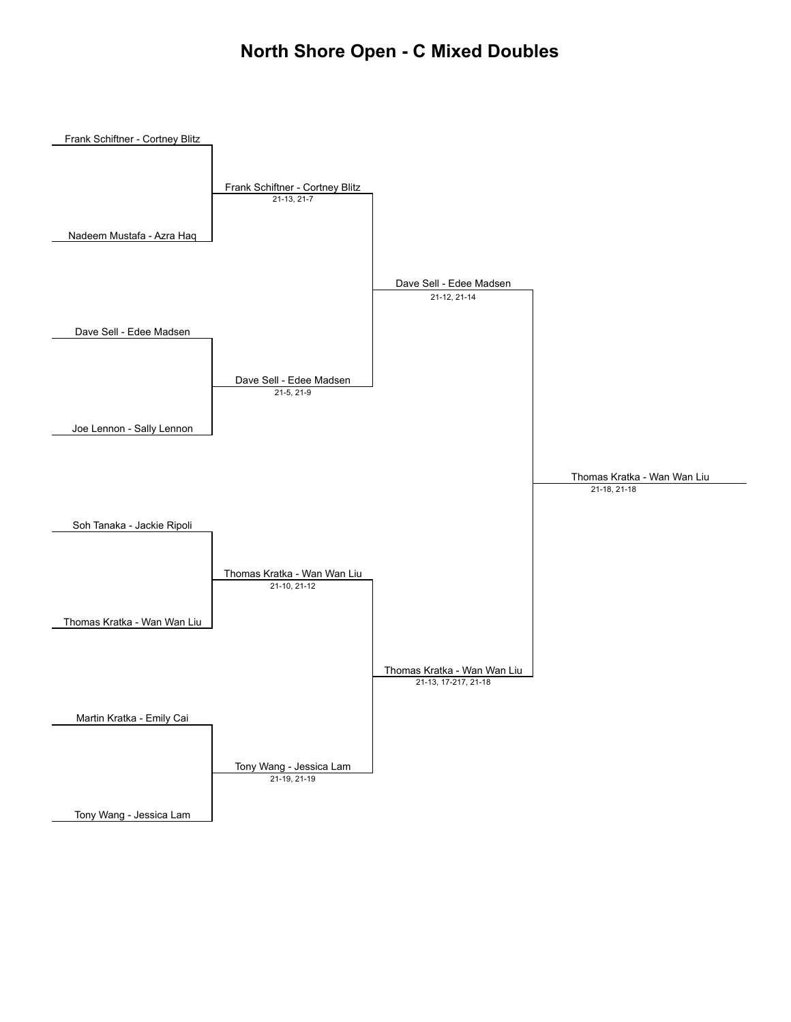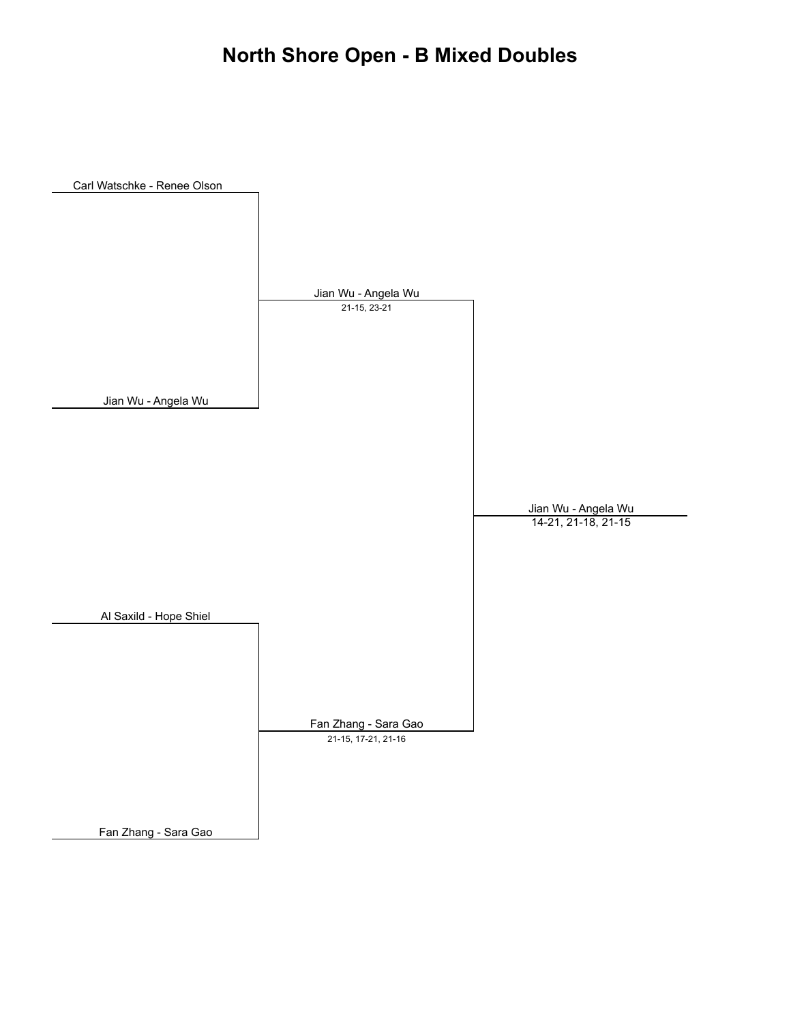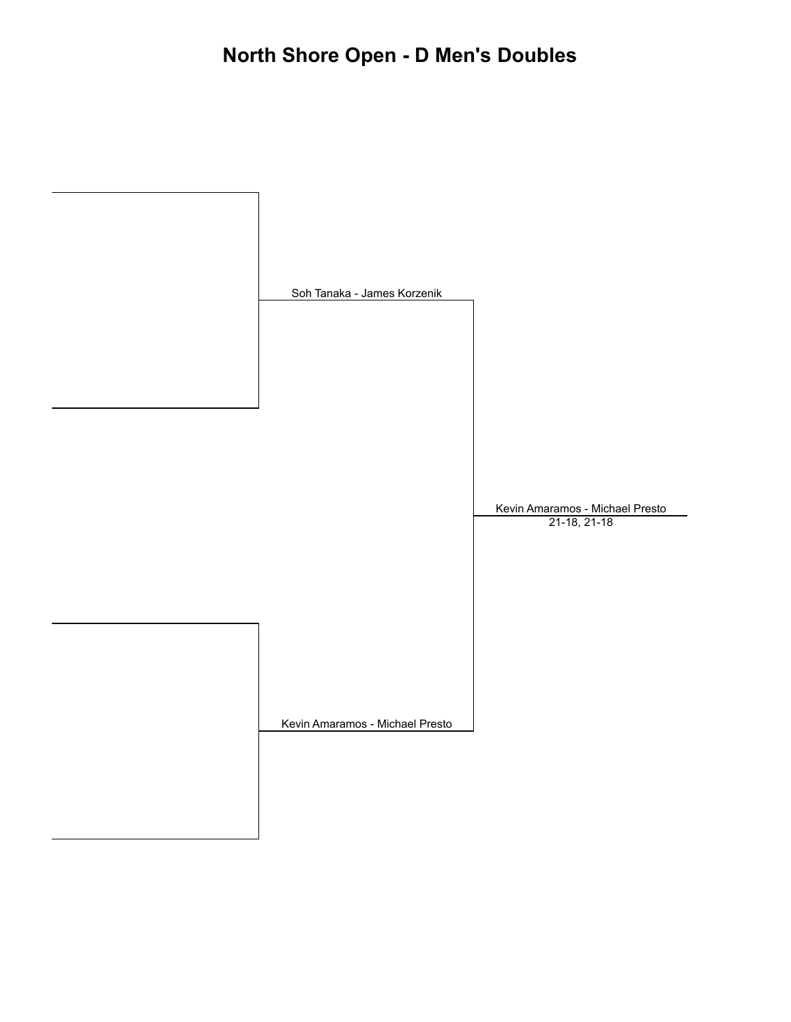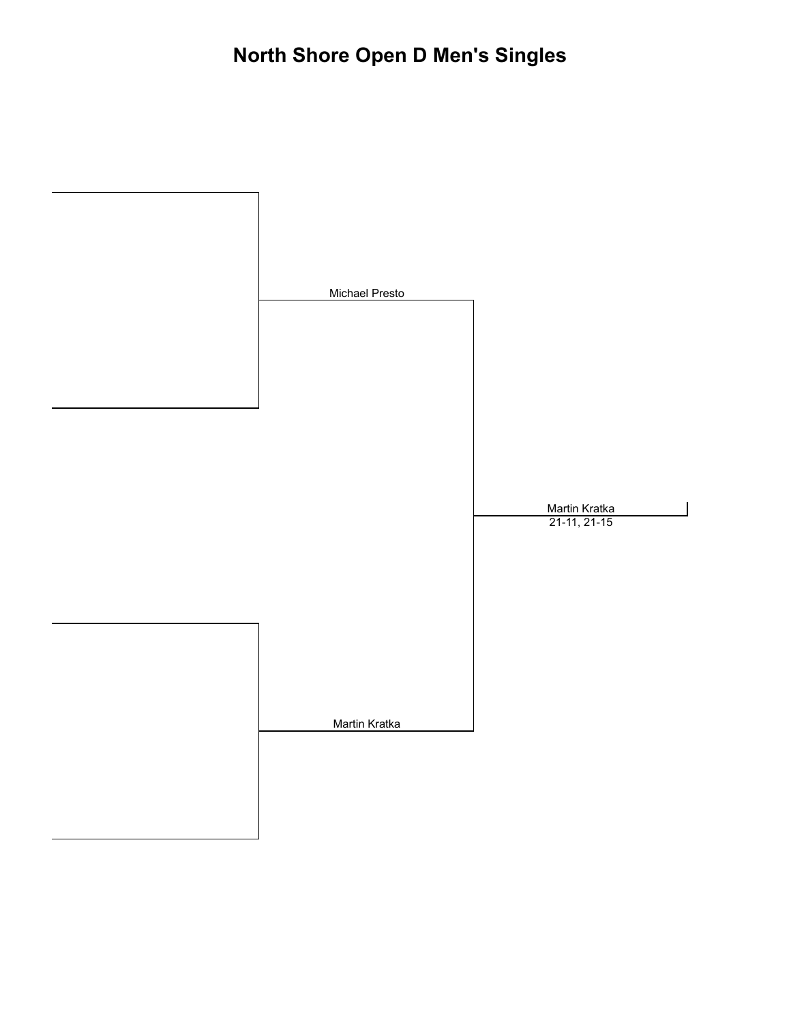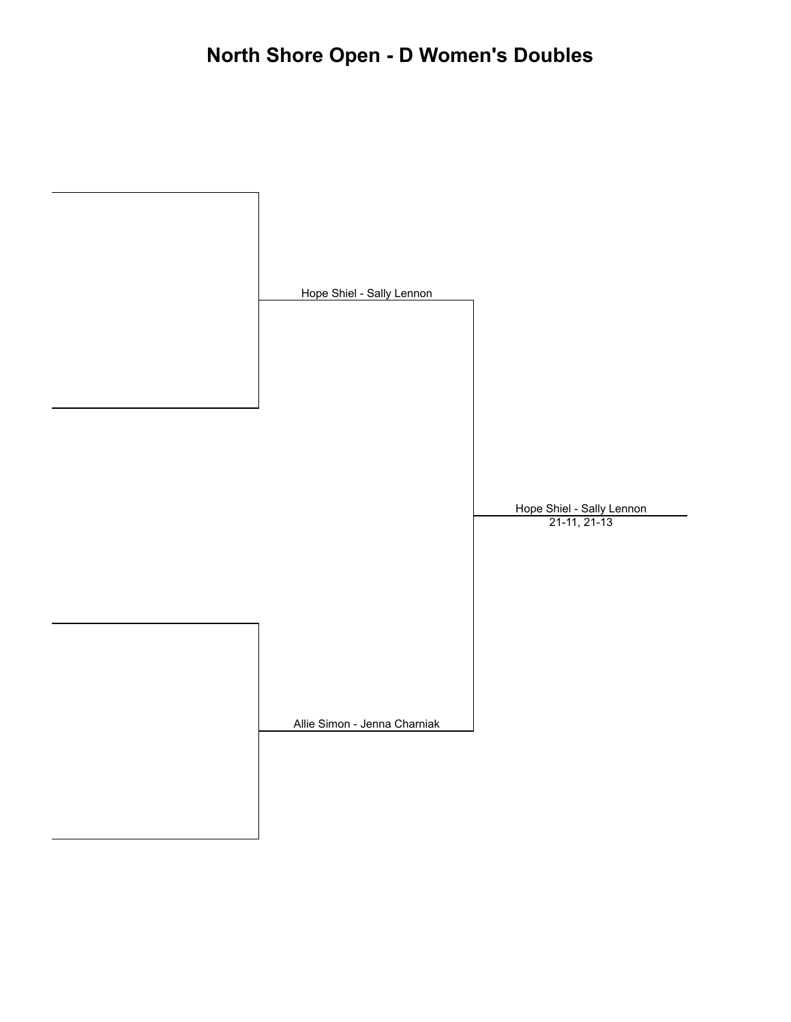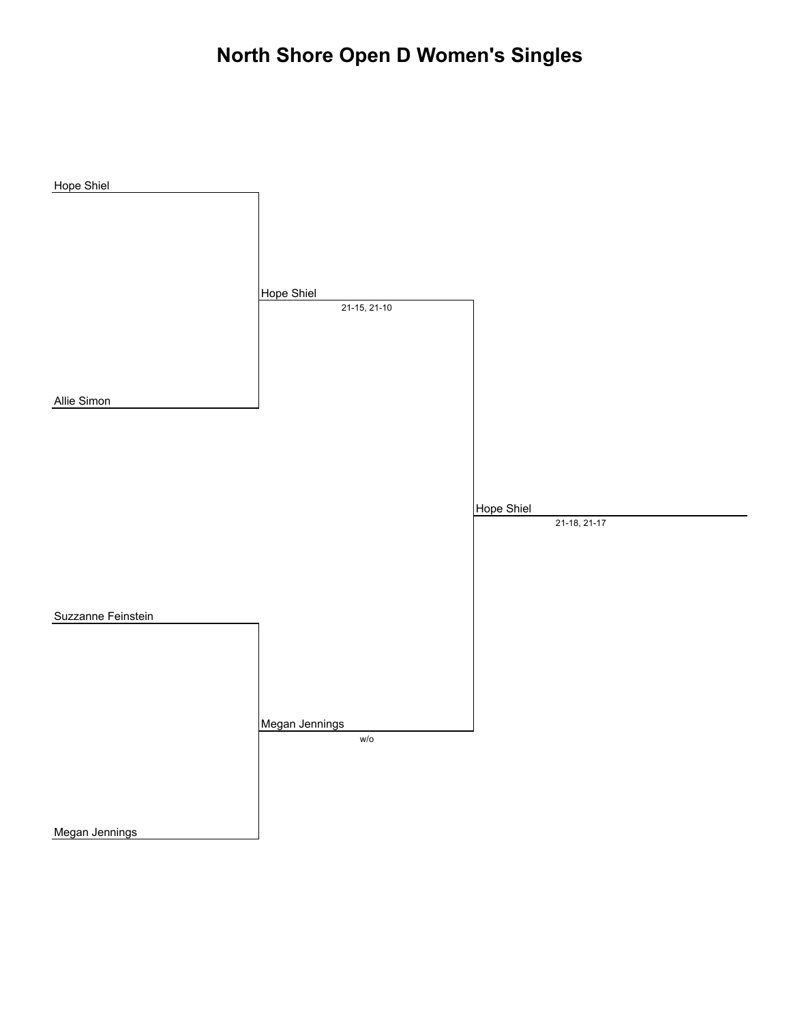# **North Shore Open D Women's Singles**